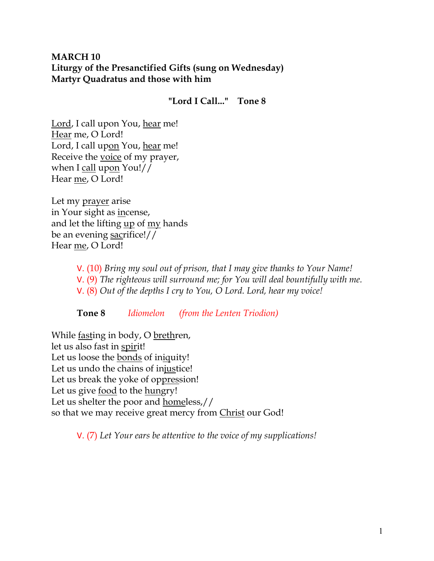# **MARCH 10 Liturgy of the Presanctified Gifts (sung on Wednesday) Martyr Quadratus and those with him**

**"Lord I Call..." Tone 8**

Lord, I call upon You, hear me! Hear me, O Lord! Lord, I call upon You, hear me! Receive the voice of my prayer, when I call upon You!// Hear me, O Lord!

Let my prayer arise in Your sight as incense, and let the lifting up of my hands be an evening sacrifice!// Hear me, O Lord!

> V. (10) *Bring my soul out of prison, that I may give thanks to Your Name!*  V. (9) *The righteous will surround me; for You will deal bountifully with me.*  V. (8) *Out of the depths I cry to You, O Lord. Lord, hear my voice!*

**Tone 8** *Idiomelon (from the Lenten Triodion)* 

While fasting in body, O brethren, let us also fast in spirit! Let us loose the bonds of iniquity! Let us undo the chains of injustice! Let us break the yoke of oppression! Let us give food to the hungry! Let us shelter the poor and homeless,// so that we may receive great mercy from Christ our God!

V. (7) *Let Your ears be attentive to the voice of my supplications!*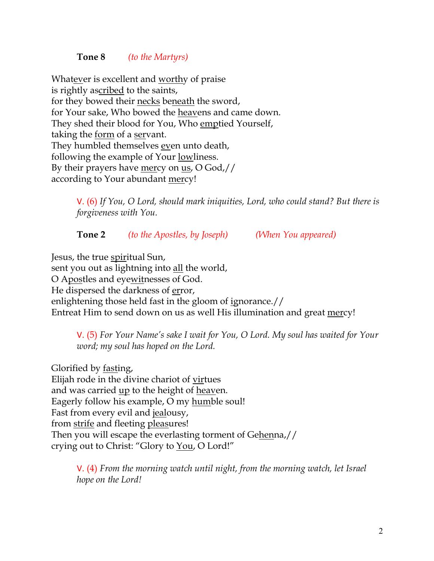### **Tone 8** *(to the Martyrs)*

Whatever is excellent and worthy of praise is rightly ascribed to the saints, for they bowed their necks beneath the sword, for Your sake, Who bowed the heavens and came down. They shed their blood for You, Who emptied Yourself, taking the form of a servant. They humbled themselves even unto death, following the example of Your lowliness. By their prayers have mercy on us, O God,// according to Your abundant mercy!

> V. (6) *If You, O Lord, should mark iniquities, Lord, who could stand? But there is forgiveness with You.*

**Tone 2** *(to the Apostles, by Joseph) (When You appeared)*

Jesus, the true spiritual Sun, sent you out as lightning into all the world, O Apostles and eyewitnesses of God. He dispersed the darkness of error, enlightening those held fast in the gloom of ignorance.// Entreat Him to send down on us as well His illumination and great mercy!

V. (5) *For Your Name's sake I wait for You, O Lord. My soul has waited for Your word; my soul has hoped on the Lord.* 

Glorified by fasting, Elijah rode in the divine chariot of virtues and was carried <u>up</u> to the height of heaven. Eagerly follow his example, O my humble soul! Fast from every evil and jealousy, from strife and fleeting pleasures! Then you will escape the everlasting torment of Gehenna,// crying out to Christ: "Glory to You, O Lord!"

> V. (4) *From the morning watch until night, from the morning watch, let Israel hope on the Lord!*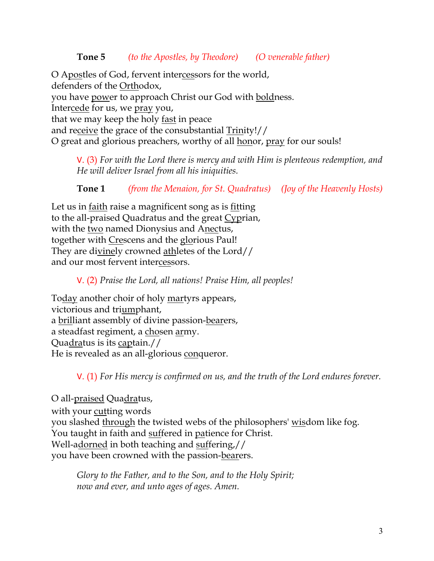O Apostles of God, fervent intercessors for the world, defenders of the Orthodox, you have power to approach Christ our God with boldness. Intercede for us, we pray you, that we may keep the holy fast in peace and receive the grace of the consubstantial Trinity!// O great and glorious preachers, worthy of all honor, pray for our souls!

V. (3) *For with the Lord there is mercy and with Him is plenteous redemption, and He will deliver Israel from all his iniquities.*

**Tone 1** *(from the Menaion, for St. Quadratus) (Joy of the Heavenly Hosts)*

Let us in faith raise a magnificent song as is fitting to the all-praised Quadratus and the great Cyprian, with the two named Dionysius and Anectus, together with Crescens and the glorious Paul! They are divinely crowned athletes of the Lord// and our most fervent intercessors.

V. (2) *Praise the Lord, all nations! Praise Him, all peoples!*

Today another choir of holy martyrs appears, victorious and triumphant, a brilliant assembly of divine passion-bearers, a steadfast regiment, a chosen army. Quadratus is its captain.// He is revealed as an all-glorious conqueror.

V. (1) *For His mercy is confirmed on us, and the truth of the Lord endures forever.* 

O all-<u>praised</u> Quadratus, with your <u>cutting</u> words you slashed through the twisted webs of the philosophers' wisdom like fog. You taught in faith and suffered in patience for Christ. Well-adorned in both teaching and suffering,// you have been crowned with the passion-bearers.

*Glory to the Father, and to the Son, and to the Holy Spirit; now and ever, and unto ages of ages. Amen.*